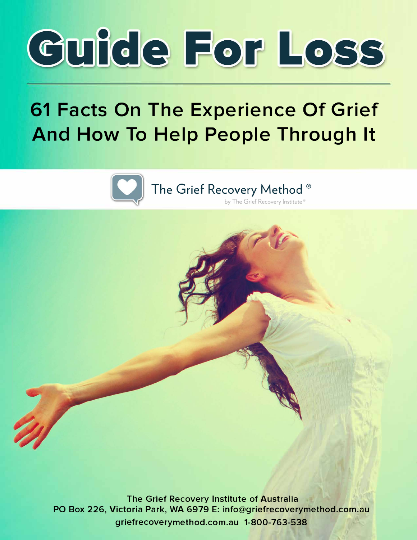

# **61 Facts On The Experience Of Grief And How To Help People Through It**



The Grief Recovery Method ® **by The Grief Recovery Institute** 

**The Grief Recovery Institute of Australia PO Box 226, Victoria Park, WA 6979 E: info@griefrecoverymethod.com.au griefrecoverymethod.com.a u 1-800-763-538**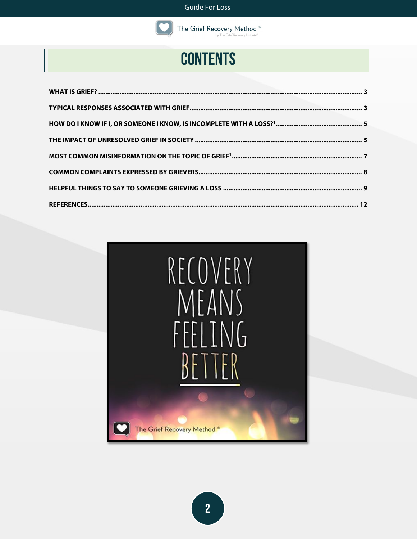

The Grief Recovery Method<sup>®</sup> by The Grief Recovery Institute'

## **CONTENTS**

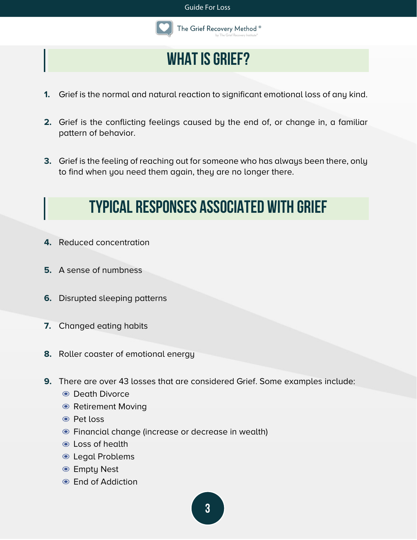

## **What is Grief?**

- <span id="page-2-0"></span>**1.** Grief is the normal and natural reaction to significant emotional loss of any kind.
- **2.** Grief is the conflicting feelings caused by the end of, or change in, a familiar pattern of behavior.
- <span id="page-2-1"></span>**3.** Grief is the feeling of reaching out for someone who has always been there, only to find when you need them again, they are no longer there.

## **Typical responses associated with Grief**

- **4.** Reduced concentration
- **5.** A sense of numbness
- **6.** Disrupted sleeping patterns
- **7.** Changed eating habits
- **8.** Roller coaster of emotional energy
- **9.** There are over 43 losses that are considered Grief. Some examples include:
	- ◉ Death Divorce
	- ◉ Retirement Moving
	- ◉ Pet loss
	- ◉ Financial change (increase or decrease in wealth)
	- ◉ Loss of health
	- ◉ Legal Problems
	- ◉ Empty Nest
	- ◉ End of Addiction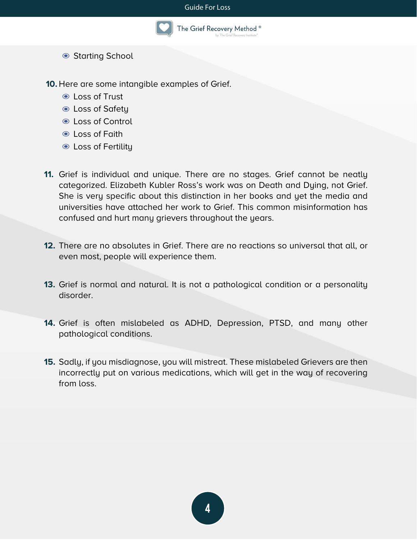#### Guide For Loss



The Grief Recovery Method ®

◉ Starting School

**10.** Here are some intangible examples of Grief.

- ◉ Loss of Trust
- ◉ Loss of Safety
- ◉ Loss of Control
- ◉ Loss of Faith
- ◉ Loss of Fertility
- **11.** Grief is individual and unique. There are no stages. Grief cannot be neatly categorized. Elizabeth Kubler Ross's work was on Death and Dying, not Grief. She is very specific about this distinction in her books and yet the media and universities have attached her work to Grief. This common misinformation has confused and hurt many grievers throughout the years.
- **12.** There are no absolutes in Grief. There are no reactions so universal that all, or even most, people will experience them.
- **13.** Grief is normal and natural. It is not a pathological condition or a personality disorder.
- **14.** Grief is often mislabeled as ADHD, Depression, PTSD, and many other pathological conditions.
- **15.** Sadly, if you misdiagnose, you will mistreat. These mislabeled Grievers are then incorrectly put on various medications, which will get in the way of recovering from loss.

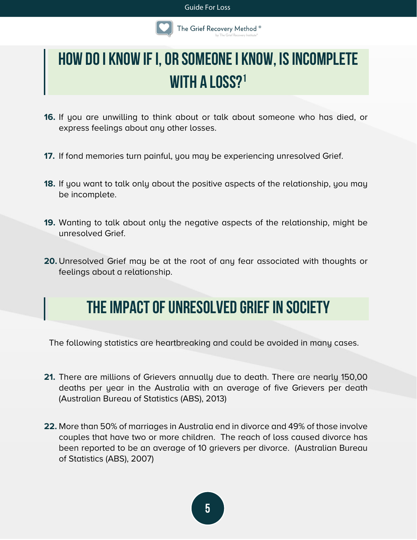#### Guide For Loss



## <span id="page-4-0"></span>**How do I know if I, or someone I know, isincomplete with a loss?1**

- **16.** If you are unwilling to think about or talk about someone who has died, or express feelings about any other losses.
- **17.** If fond memories turn painful, you may be experiencing unresolved Grief.
- **18.** If you want to talk only about the positive aspects of the relationship, you may be incomplete.
- **19.** Wanting to talk about only the negative aspects of the relationship, might be unresolved Grief.
- <span id="page-4-1"></span>**20.** Unresolved Grief may be at the root of any fear associated with thoughts or feelings about a relationship.

## **The impact of unresolved Grief in society**

The following statistics are heartbreaking and could be avoided in many cases.

- **21.** There are millions of Grievers annually due to death. There are nearly 150,00 deaths per year in the Australia with an average of five Grievers per death (Australian Bureau of Statistics (ABS), 2013)
- **22.** More than 50% of marriages in Australia end in divorce and 49% of those involve couples that have two or more children. The reach of loss caused divorce has been reported to be an average of 10 grievers per divorce. (Australian Bureau of Statistics (ABS), 2007)

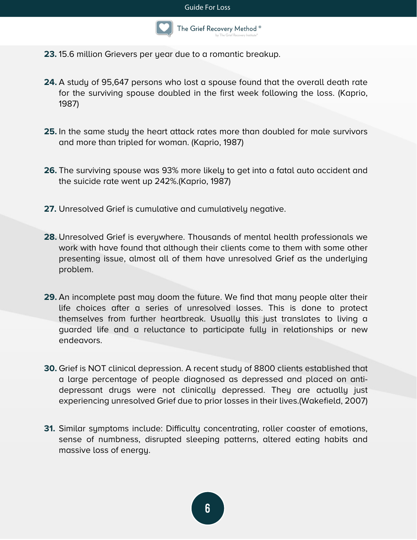

- **23.** 15.6 million Grievers per year due to a romantic breakup.
- **24.** A study of 95,647 persons who lost a spouse found that the overall death rate for the surviving spouse doubled in the first week following the loss. (Kaprio, 1987)
- **25.** In the same study the heart attack rates more than doubled for male survivors and more than tripled for woman. (Kaprio, 1987)
- **26.** The surviving spouse was 93% more likely to get into a fatal auto accident and the suicide rate went up 242%.(Kaprio, 1987)
- **27.** Unresolved Grief is cumulative and cumulatively negative.
- **28.** Unresolved Grief is everywhere. Thousands of mental health professionals we work with have found that although their clients come to them with some other presenting issue, almost all of them have unresolved Grief as the underlying problem.
- **29.** An incomplete past may doom the future. We find that many people alter their life choices after a series of unresolved losses. This is done to protect themselves from further heartbreak. Usually this just translates to living a guarded life and a reluctance to participate fully in relationships or new endeavors.
- **30.** Grief is NOT clinical depression. A recent study of 8800 clients established that a large percentage of people diagnosed as depressed and placed on antidepressant drugs were not clinically depressed. They are actually just experiencing unresolved Grief due to prior losses in their lives.(Wakefield, 2007)
- **31.** Similar symptoms include: Difficulty concentrating, roller coaster of emotions, sense of numbness, disrupted sleeping patterns, altered eating habits and massive loss of energy.

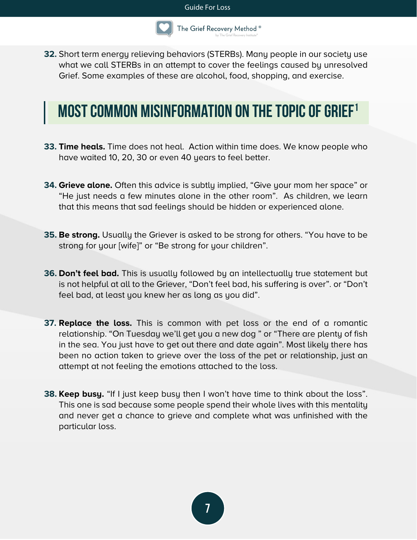

**32.** Short term energy relieving behaviors (STERBs). Many people in our society use what we call STERBs in an attempt to cover the feelings caused by unresolved Grief. Some examples of these are alcohol, food, shopping, and exercise.

## <span id="page-6-0"></span>**MOST COMMON MISINFORMATION ON THE TOPIC OF GRIEF<sup>1</sup>**

- **33. Time heals.** Time does not heal. Action within time does. We know people who have waited 10, 20, 30 or even 40 years to feel better.
- **34. Grieve alone.** Often this advice is subtly implied, "Give your mom her space" or "He just needs a few minutes alone in the other room". As children, we learn that this means that sad feelings should be hidden or experienced alone.
- **35. Be strong.** Usually the Griever is asked to be strong for others. "You have to be strong for your [wife]" or "Be strong for your children".
- **36. Don't feel bad.** This is usually followed by an intellectually true statement but is not helpful at all to the Griever, "Don't feel bad, his suffering is over". or "Don't feel bad, at least you knew her as long as you did".
- **37. Replace the loss.** This is common with pet loss or the end of a romantic relationship. "On Tuesday we'll get you a new dog " or "There are plenty of fish in the sea. You just have to get out there and date again". Most likely there has been no action taken to grieve over the loss of the pet or relationship, just an attempt at not feeling the emotions attached to the loss.
- **38. Keep busy.** "If I just keep busy then I won't have time to think about the loss". This one is sad because some people spend their whole lives with this mentality and never get a chance to grieve and complete what was unfinished with the particular loss.

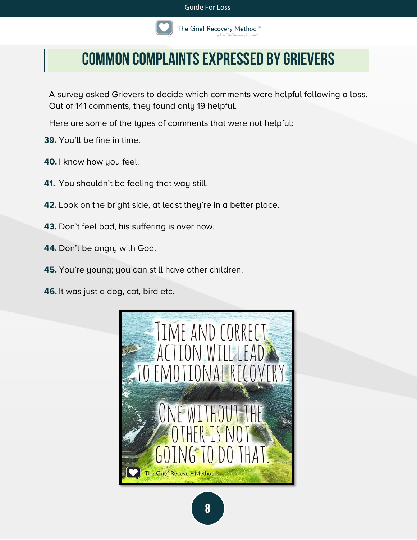

## <span id="page-7-0"></span>**Common complaints expressed by Grievers**

A survey asked Grievers to decide which comments were helpful following a loss. Out of 141 comments, they found only 19 helpful.

Here are some of the types of comments that were not helpful:

- **39.** You'll be fine in time.
- **40.** I know how you feel.
- **41.** You shouldn't be feeling that way still.
- **42.** Look on the bright side, at least they're in a better place.
- **43.** Don't feel bad, his suffering is over now.
- **44.** Don't be angry with God.
- **45.** You're young; you can still have other children.

**46.** It was just a dog, cat, bird etc.

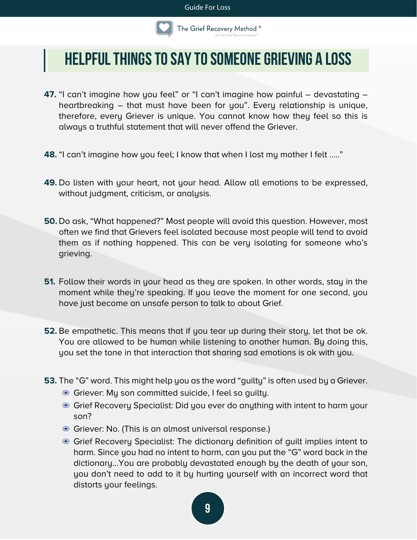

### <span id="page-8-0"></span>**Helpful things to say to someone grieving a loss**

- **47.** "I can't imagine how you feel" or "I can't imagine how painful devastating heartbreaking – that must have been for you". Every relationship is unique, therefore, every Griever is unique. You cannot know how they feel so this is always a truthful statement that will never offend the Griever.
- **48.** "I can't imagine how you feel; I know that when I lost my mother I felt ….."
- **49.** Do listen with your heart, not your head. Allow all emotions to be expressed, without judgment, criticism, or analysis.
- **50.** Do ask, "What happened?" Most people will avoid this question. However, most often we find that Grievers feel isolated because most people will tend to avoid them as if nothing happened. This can be very isolating for someone who's grieving.
- **51.** Follow their words in your head as they are spoken. In other words, stay in the moment while they're speaking. If you leave the moment for one second, you have just become an unsafe person to talk to about Grief.
- **52.** Be empathetic. This means that if you tear up during their story, let that be ok. You are allowed to be human while listening to another human. By doing this, you set the tone in that interaction that sharing sad emotions is ok with you.
- **53.** The "G" word. This might help you as the word "guilty" is often used by a Griever.
	- ◉ Griever: My son committed suicide, I feel so guilty.
	- ◉ Grief Recovery Specialist: Did you ever do anything with intent to harm your son?
	- ◉ Griever: No. (This is an almost universal response.)
	- ◉ Grief Recovery Specialist: The dictionary definition of guilt implies intent to harm. Since you had no intent to harm, can you put the "G" word back in the dictionary…You are probably devastated enough by the death of your son, you don't need to add to it by hurting yourself with an incorrect word that distorts your feelings.

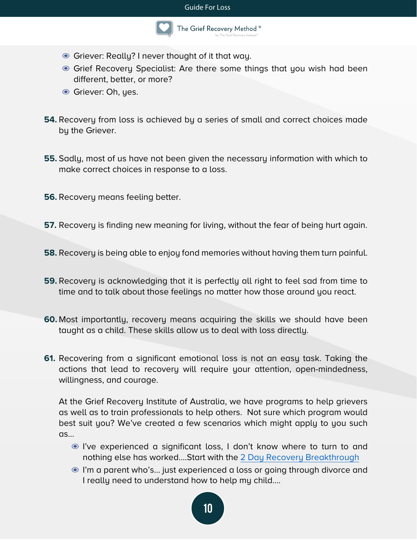

- ◉ Griever: Really? I never thought of it that way.
- Grief Recovery Specialist: Are there some things that you wish had been different, better, or more?
- ◉ Griever: Oh, yes.
- **54.** Recovery from loss is achieved by a series of small and correct choices made by the Griever.
- **55.** Sadly, most of us have not been given the necessary information with which to make correct choices in response to a loss.
- **56.** Recovery means feeling better.
- **57.** Recovery is finding new meaning for living, without the fear of being hurt again.
- **58.** Recovery is being able to enjoy fond memories without having them turn painful.
- **59.** Recovery is acknowledging that it is perfectly all right to feel sad from time to time and to talk about those feelings no matter how those around you react.
- **60.** Most importantly, recovery means acquiring the skills we should have been taught as a child. These skills allow us to deal with loss directly.
- **61.** Recovering from a significant emotional loss is not an easy task. Taking the actions that lead to recovery will require your attention, open-mindedness, willingness, and courage.

At the Grief Recovery Institute of Australia, we have programs to help grievers as well as to train professionals to help others. Not sure which program would best suit you? We've created a few scenarios which might apply to you such as…

- ◉ I've experienced a significant loss, I don't know where to turn to and nothing else has worked....Start with the [2 Day Recovery Breakthrough](https://www.griefrecoverymethod.com.au/weekend-workshop)
- ◉ I'm a parent who's... just experienced a loss or going through divorce and I really need to understand how to help my child….

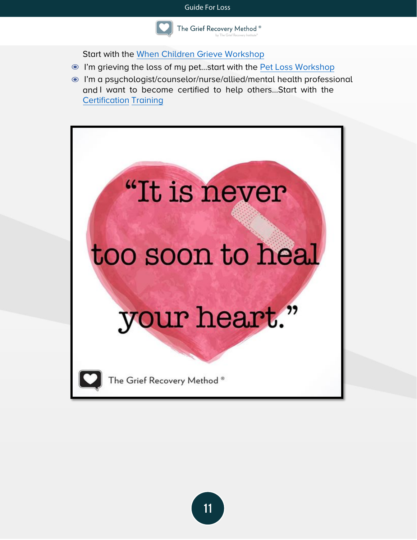

Start with the [When Children Grieve](https://www.griefrecoverymethod.com.au/workshops) Workshop

- ◉ I'm grieving the loss of my pet…start with the [Pet Loss Workshop](https://www.griefrecoverymethod.com.au/workshops)
- ◉ I'm a psychologist/counselor/nurse/allied/mental health professional and I want to become certified to help others…Start with the [Certification](https://www.griefrecoverymethod.com.au/dates) Training